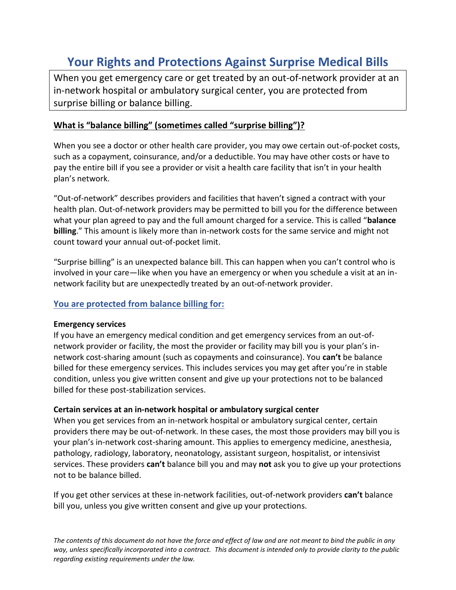# **Your Rights and Protections Against Surprise Medical Bills**

When you get emergency care or get treated by an out-of-network provider at an in-network hospital or ambulatory surgical center, you are protected from surprise billing or balance billing.

## **What is "balance billing" (sometimes called "surprise billing")?**

When you see a doctor or other health care provider, you may owe certain out-of-pocket costs, such as a copayment, coinsurance, and/or a deductible. You may have other costs or have to pay the entire bill if you see a provider or visit a health care facility that isn't in your health plan's network.

"Out-of-network" describes providers and facilities that haven't signed a contract with your health plan. Out-of-network providers may be permitted to bill you for the difference between what your plan agreed to pay and the full amount charged for a service. This is called "**balance billing**." This amount is likely more than in-network costs for the same service and might not count toward your annual out-of-pocket limit.

"Surprise billing" is an unexpected balance bill. This can happen when you can't control who is involved in your care—like when you have an emergency or when you schedule a visit at an innetwork facility but are unexpectedly treated by an out-of-network provider.

### **You are protected from balance billing for:**

#### **Emergency services**

If you have an emergency medical condition and get emergency services from an out-ofnetwork provider or facility, the most the provider or facility may bill you is your plan's innetwork cost-sharing amount (such as copayments and coinsurance). You **can't** be balance billed for these emergency services. This includes services you may get after you're in stable condition, unless you give written consent and give up your protections not to be balanced billed for these post-stabilization services.

#### **Certain services at an in-network hospital or ambulatory surgical center**

When you get services from an in-network hospital or ambulatory surgical center, certain providers there may be out-of-network. In these cases, the most those providers may bill you is your plan's in-network cost-sharing amount. This applies to emergency medicine, anesthesia, pathology, radiology, laboratory, neonatology, assistant surgeon, hospitalist, or intensivist services. These providers **can't** balance bill you and may **not** ask you to give up your protections not to be balance billed.

If you get other services at these in-network facilities, out-of-network providers **can't** balance bill you, unless you give written consent and give up your protections.

*The contents of this document do not have the force and effect of law and are not meant to bind the public in any way, unless specifically incorporated into a contract. This document is intended only to provide clarity to the public regarding existing requirements under the law.*